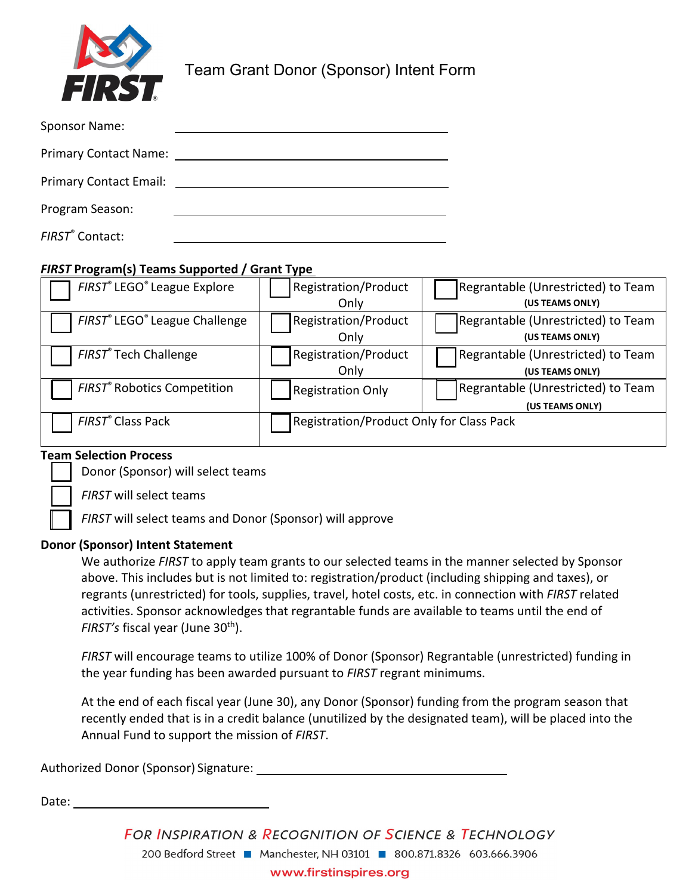

Team Grant Donor (Sponsor) Intent Form

| Sponsor Name:                 |  |
|-------------------------------|--|
| <b>Primary Contact Name:</b>  |  |
| <b>Primary Contact Email:</b> |  |
| Program Season:               |  |
| FIRST <sup>®</sup> Contact:   |  |

### *FIRST* **Program(s) Teams Supported / Grant Type**

| FIRST® LEGO® League Explore                   | Registration/Product<br>Only             | Regrantable (Unrestricted) to Team<br>(US TEAMS ONLY) |  |  |
|-----------------------------------------------|------------------------------------------|-------------------------------------------------------|--|--|
| FIRST® LEGO® League Challenge                 | <b>Registration/Product</b><br>Only      | Regrantable (Unrestricted) to Team<br>(US TEAMS ONLY) |  |  |
| FIRST® Tech Challenge                         | Registration/Product<br>Only             | Regrantable (Unrestricted) to Team<br>(US TEAMS ONLY) |  |  |
| <b>FIRST<sup>®</sup></b> Robotics Competition | <b>Registration Only</b>                 | Regrantable (Unrestricted) to Team<br>(US TEAMS ONLY) |  |  |
| FIRST® Class Pack                             | Registration/Product Only for Class Pack |                                                       |  |  |

#### **Team Selection Process**

Donor (Sponsor) will select teams

*FIRST* will select teams

*FIRST* will select teams and Donor (Sponsor) will approve

#### **Donor (Sponsor) Intent Statement**

We authorize *FIRST* to apply team grants to our selected teams in the manner selected by Sponsor above. This includes but is not limited to: registration/product (including shipping and taxes), or regrants (unrestricted) for tools, supplies, travel, hotel costs, etc. in connection with *FIRST* related activities. Sponsor acknowledges that regrantable funds are available to teams until the end of FIRST's fiscal year (June 30<sup>th</sup>).

*FIRST* will encourage teams to utilize 100% of Donor (Sponsor) Regrantable (unrestricted) funding in the year funding has been awarded pursuant to *FIRST* regrant minimums.

At the end of each fiscal year (June 30), any Donor (Sponsor) funding from the program season that recently ended that is in a credit balance (unutilized by the designated team), will be placed into the Annual Fund to support the mission of *FIRST*.

Authorized Donor (Sponsor) Signature:

Date:

**FOR INSPIRATION & RECOGNITION OF SCIENCE & TECHNOLOGY** 200 Bedford Street Manchester, NH 03101 300.871.8326 603.666.3906 www.firstinspires.org